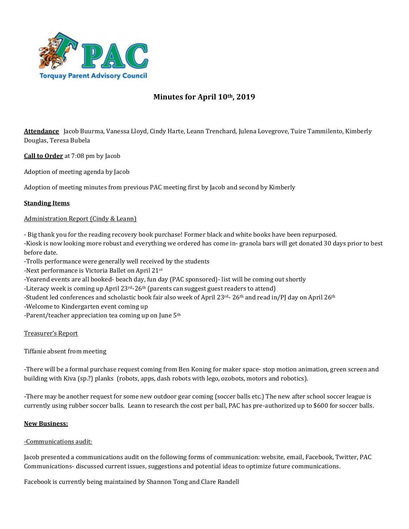

# **Minutes for April 10th, 2019**

**Attendance** Jacob Buurma, Vanessa Lloyd, Cindy Harte, Leann Trenchard, Julena Lovegrove, Tuire Tammilento, Kimberly Douglas, Teresa Bubela

**Call to Order** at 7:08 pm by Jacob

Adoption of meeting agenda by Jacob

Adoption of meeting minutes from previous PAC meeting first by Jacob and second by Kimberly

## **Standing Items**

#### Administration Report (Cindy & Leann)

- Big thank you for the reading recovery book purchase! Former black and white books have been repurposed.

-Kiosk is now looking more robust and everything we ordered has come in- granola bars will get donated 30 days prior to best before date.

-Trolls performance were generally well received by the students

-Next performance is Victoria Ballet on April 21st

-Yearend events are all booked- beach day, fun day (PAC sponsored)- list will be coming out shortly

-Literacy week is coming up April  $23^{\text{rd}} - 26^{\text{th}}$  (parents can suggest guest readers to attend)

-Student led conferences and scholastic book fair also week of April 23rd- 26<sup>th</sup> and read in/PJ day on April 26<sup>th</sup>

-Welcome to Kindergarten event coming up

-Parent/teacher appreciation tea coming up on June 5th

#### Treasurer's Report

Tiffanie absent from meeting

-There will be a formal purchase request coming from Ben Koning for maker space- stop motion animation, green screen and building with Kiva (sp.?) planks (robots, apps, dash robots with lego, ozobots, motors and robotics).

-There may be another request for some new outdoor gear coming (soccer balls etc.) The new after school soccer league is currently using rubber soccer balls. Leann to research the cost per ball, PAC has pre-authorized up to \$600 for soccer balls.

#### **New Business:**

#### -Communications audit:

Jacob presented a communications audit on the following forms of communication: website, email, Facebook, Twitter, PAC Communications- discussed current issues, suggestions and potential ideas to optimize future communications.

Facebook is currently being maintained by Shannon Tong and Clare Randell